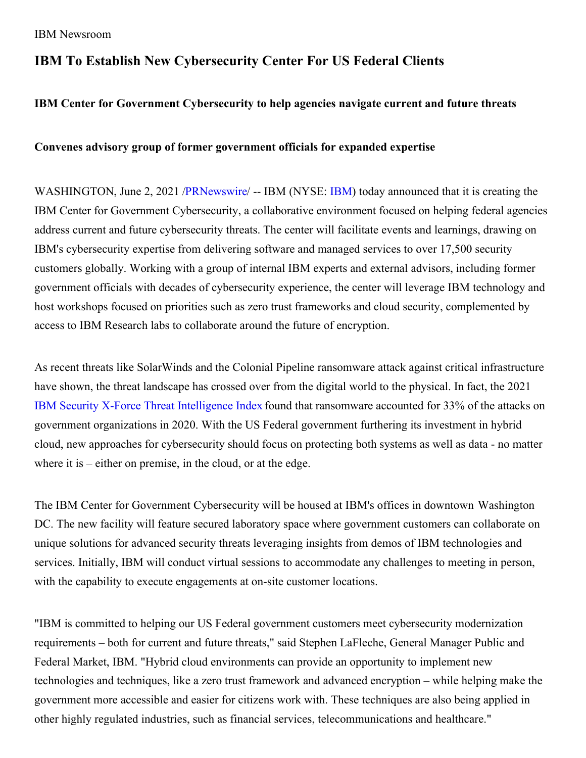# **IBM To Establish New Cybersecurity Center For US Federal Clients**

## **IBM Center for Government Cybersecurity to help agencies navigate current and future threats**

### **Convenes advisory group of former government officials for expanded expertise**

WASHINGTON, June 2, 2021 [/PRNewswire](http://www.prnewswire.com/)/ -- [IBM](https://c212.net/c/link/?t=0&l=en&o=3182910-1&h=2748321857&u=https%3A%2F%2Fc212.net%2Fc%2Flink%2F%3Ft%3D0%26l%3Den%26o%3D2570709-1%26h%3D2804996277%26u%3Dhttp%253A%252F%252Fwww.ibm.com%252Finvestor%26a%3DIBM&a=IBM) (NYSE: IBM) today announced that it is creating the IBM Center for Government Cybersecurity, a collaborative environment focused on helping federal agencies address current and future cybersecurity threats. The center will facilitate events and learnings, drawing on IBM's cybersecurity expertise from delivering software and managed services to over 17,500 security customers globally. Working with a group of internal IBM experts and external advisors, including former government officials with decades of cybersecurity experience, the center will leverage IBM technology and host workshops focused on priorities such as zero trust frameworks and cloud security, complemented by access to IBM Research labs to collaborate around the future of encryption.

As recent threats like SolarWinds and the Colonial Pipeline ransomware attack against critical infrastructure have shown, the threat landscape has crossed over from the digital world to the physical. In fact, the 2021 IBM Security X-Force Threat [Intelligence](https://c212.net/c/link/?t=0&l=en&o=3182910-1&h=3823374623&u=https%3A%2F%2Fwww.ibm.com%2Fsecurity%2Fdata-breach%2Fthreat-intelligence&a=IBM+Security+X-Force+Threat+Intelligence+Index) Index found that ransomware accounted for 33% of the attacks on government organizations in 2020. With the US Federal government furthering its investment in hybrid cloud, new approaches for cybersecurity should focus on protecting both systems as well as data - no matter where it is – either on premise, in the cloud, or at the edge.

The IBM Center for Government Cybersecurity will be housed at IBM's offices in downtown Washington DC. The new facility will feature secured laboratory space where government customers can collaborate on unique solutions for advanced security threats leveraging insights from demos of IBM technologies and services. Initially, IBM will conduct virtual sessions to accommodate any challenges to meeting in person, with the capability to execute engagements at on-site customer locations.

"IBM is committed to helping our US Federal government customers meet cybersecurity modernization requirements – both for current and future threats," said Stephen LaFleche, General Manager Public and Federal Market, IBM. "Hybrid cloud environments can provide an opportunity to implement new technologies and techniques, like a zero trust framework and advanced encryption – while helping make the government more accessible and easier for citizens work with. These techniques are also being applied in other highly regulated industries, such as financial services, telecommunications and healthcare."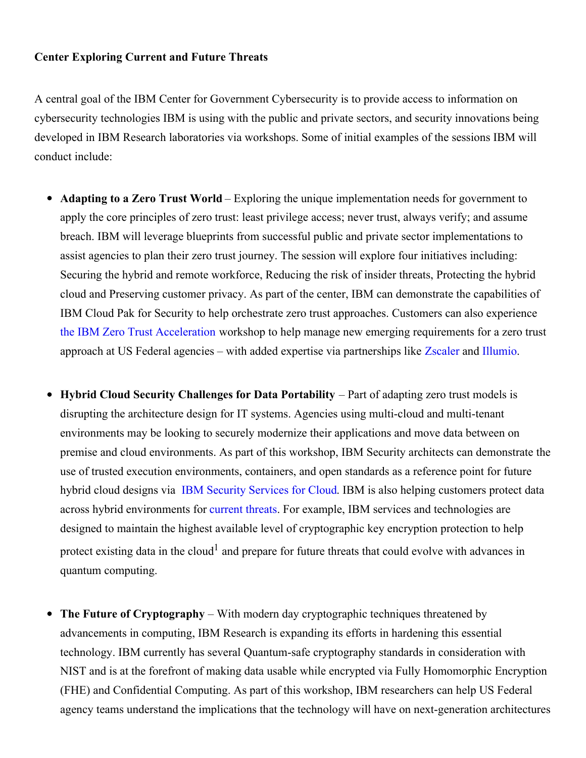#### **Center Exploring Current and Future Threats**

A central goal of the IBM Center for Government Cybersecurity is to provide access to information on cybersecurity technologies IBM is using with the public and private sectors, and security innovations being developed in IBM Research laboratories via workshops. Some of initial examples of the sessions IBM will conduct include:

- **Adapting to a Zero Trust World** Exploring the unique implementation needs for government to apply the core principles of zero trust: least privilege access; never trust, always verify; and assume breach. IBM will leverage blueprints from successful public and private sector implementations to assist agencies to plan their zero trust journey. The session will explore four initiatives including: Securing the hybrid and remote workforce, Reducing the risk of insider threats, Protecting the hybrid cloud and Preserving customer privacy. As part of the center, IBM can demonstrate the capabilities of IBM Cloud Pak for Security to help orchestrate zero trust approaches. Customers can also experience the IBM Zero Trust [Acceleration](https://c212.net/c/link/?t=0&l=en&o=3182910-1&h=4265384307&u=https%3A%2F%2Fwww.ibm.com%2Fsecurity%2Fzero-trust&a=the+IBM+Zero+Trust+Acceleration) workshop to help manage new emerging requirements for a zero trust approach at US Federal agencies – with added expertise via partnerships like [Zscaler](https://c212.net/c/link/?t=0&l=en&o=3182910-1&h=1737082550&u=https%3A%2F%2Fwww.zscaler.com%2F&a=Zscaler) and [Illumio](https://c212.net/c/link/?t=0&l=en&o=3182910-1&h=2661139204&u=https%3A%2F%2Fwww.illumio.com%2F&a=Illumio).
- **Hybrid Cloud Security Challenges for Data Portability** Part of adapting zero trust models is disrupting the architecture design for IT systems. Agencies using multi-cloud and multi-tenant environments may be looking to securely modernize their applications and move data between on premise and cloud environments. As part of this workshop, IBM Security architects can demonstrate the use of trusted execution environments, containers, and open standards as a reference point for future hybrid cloud designs via IBM Security [Services](https://c212.net/c/link/?t=0&l=en&o=3182910-1&h=2898738221&u=https%3A%2F%2Fc212.net%2Fc%2Flink%2F%3Ft%3D0%26l%3Den%26o%3D3106789-1%26h%3D2808970754%26u%3Dhttps%253A%252F%252Fwww.ibm.com%252Fsecurity%252Fservices%252Fcloud-security-services%26a%3DIBM%2BSecurity%2BServices%2Bfor%2BCloud&a=IBM+Security+Services+for+Cloud) for Cloud. IBM is also helping customers protect data across hybrid environments for [current](https://c212.net/c/link/?t=0&l=en&o=3182910-1&h=1812256635&u=https%3A%2F%2Fnewsroom.ibm.com%2F2020-11-30-IBM-Cloud-Delivers-Quantum-Safe-Cryptography-and-Hyper-Protect-Crypto-Services-to-Help-Protect-Data-in-the-Hybrid-Era&a=current+threats) threats. For example, IBM services and technologies are designed to maintain the highest available level of cryptographic key encryption protection to help protect existing data in the cloud<sup>1</sup> and prepare for future threats that could evolve with advances in quantum computing.
- $\bullet$ **The Future of Cryptography** – With modern day cryptographic techniques threatened by advancements in computing, IBM Research is expanding its efforts in hardening this essential technology. IBM currently has several Quantum-safe cryptography standards in consideration with NIST and is at the forefront of making data usable while encrypted via Fully Homomorphic Encryption (FHE) and Confidential Computing. As part of this workshop, IBM researchers can help US Federal agency teams understand the implications that the technology will have on next-generation architectures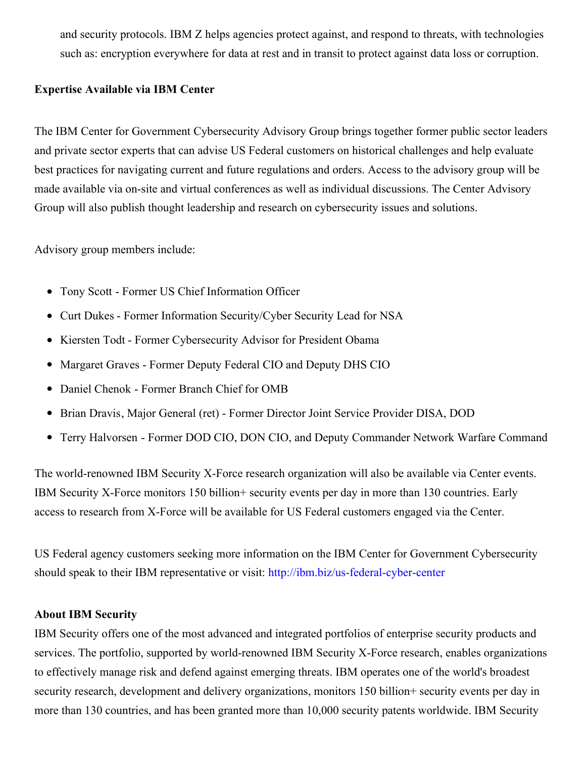and security protocols. IBM Z helps agencies protect against, and respond to threats, with technologies such as: encryption everywhere for data at rest and in transit to protect against data loss or corruption.

## **Expertise Available via IBM Center**

The IBM Center for Government Cybersecurity Advisory Group brings together former public sector leaders and private sector experts that can advise US Federal customers on historical challenges and help evaluate best practices for navigating current and future regulations and orders. Access to the advisory group will be made available via on-site and virtual conferences as well as individual discussions. The Center Advisory Group will also publish thought leadership and research on cybersecurity issues and solutions.

Advisory group members include:

- Tony Scott Former US Chief Information Officer
- Curt Dukes Former Information Security/Cyber Security Lead for NSA
- Kiersten Todt Former Cybersecurity Advisor for President Obama
- Margaret Graves Former Deputy Federal CIO and Deputy DHS CIO
- Daniel Chenok Former Branch Chief for OMB
- Brian Dravis, Major General (ret) Former Director Joint Service Provider DISA, DOD
- Terry Halvorsen Former DOD CIO, DON CIO, and Deputy Commander Network Warfare Command

The world-renowned IBM Security X-Force research organization will also be available via Center events. IBM Security X-Force monitors 150 billion+ security events per day in more than 130 countries. Early access to research from X-Force will be available for US Federal customers engaged via the Center.

US Federal agency customers seeking more information on the IBM Center for Government Cybersecurity should speak to their IBM representative or visit: [http://ibm.biz/us-federal-cyber-center](https://c212.net/c/link/?t=0&l=en&o=3182910-1&h=3308107958&u=http%3A%2F%2Fibm.biz%2Fus-federal-cyber-center&a=http%3A%2F%2Fibm.biz%2Fus-federal-cyber-center)

#### **About IBM Security**

IBM Security offers one of the most advanced and integrated portfolios of enterprise security products and services. The portfolio, supported by world-renowned IBM Security X-Force research, enables organizations to effectively manage risk and defend against emerging threats. IBM operates one of the world's broadest security research, development and delivery organizations, monitors 150 billion+ security events per day in more than 130 countries, and has been granted more than 10,000 security patents worldwide. IBM Security